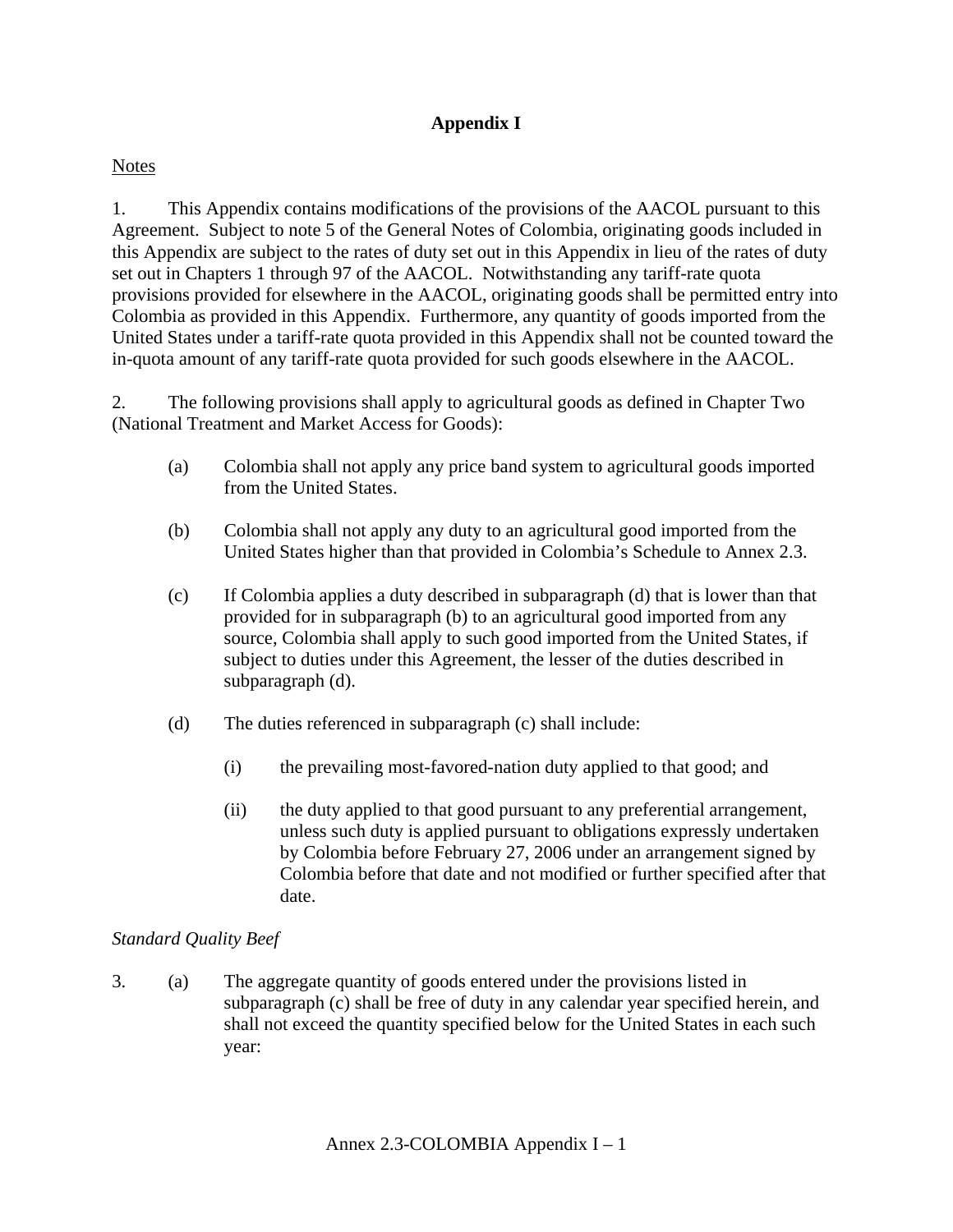# **Appendix I**

## Notes

1. This Appendix contains modifications of the provisions of the AACOL pursuant to this Agreement. Subject to note 5 of the General Notes of Colombia, originating goods included in this Appendix are subject to the rates of duty set out in this Appendix in lieu of the rates of duty set out in Chapters 1 through 97 of the AACOL. Notwithstanding any tariff-rate quota provisions provided for elsewhere in the AACOL, originating goods shall be permitted entry into Colombia as provided in this Appendix. Furthermore, any quantity of goods imported from the United States under a tariff-rate quota provided in this Appendix shall not be counted toward the in-quota amount of any tariff-rate quota provided for such goods elsewhere in the AACOL.

2. The following provisions shall apply to agricultural goods as defined in Chapter Two (National Treatment and Market Access for Goods):

- (a) Colombia shall not apply any price band system to agricultural goods imported from the United States.
- (b) Colombia shall not apply any duty to an agricultural good imported from the United States higher than that provided in Colombia's Schedule to Annex 2.3.
- (c) If Colombia applies a duty described in subparagraph (d) that is lower than that provided for in subparagraph (b) to an agricultural good imported from any source, Colombia shall apply to such good imported from the United States, if subject to duties under this Agreement, the lesser of the duties described in subparagraph (d).
- (d) The duties referenced in subparagraph (c) shall include:
	- (i) the prevailing most-favored-nation duty applied to that good; and
	- (ii) the duty applied to that good pursuant to any preferential arrangement, unless such duty is applied pursuant to obligations expressly undertaken by Colombia before February 27, 2006 under an arrangement signed by Colombia before that date and not modified or further specified after that date.

## *Standard Quality Beef*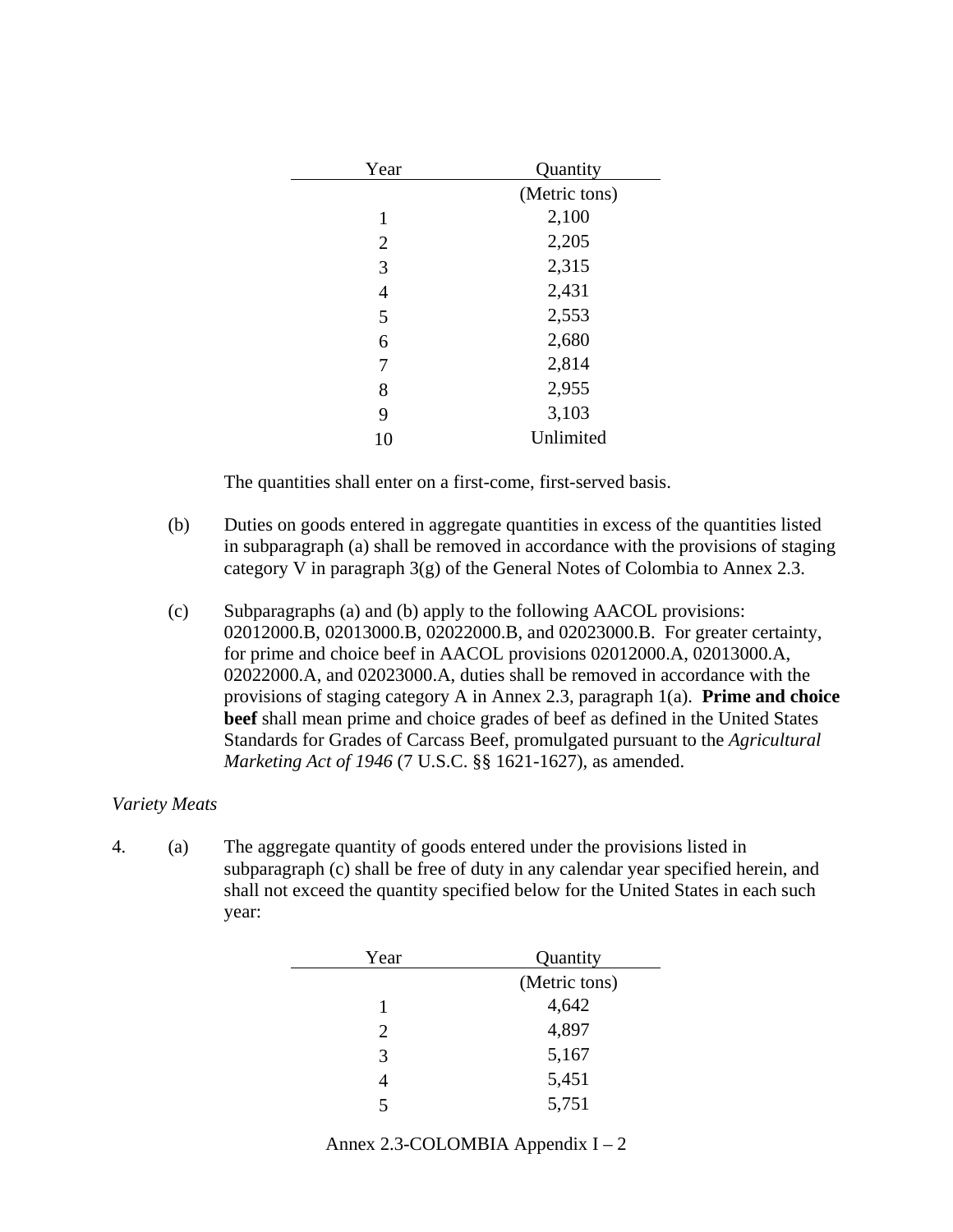| Year           | Quantity      |
|----------------|---------------|
|                | (Metric tons) |
| 1              | 2,100         |
| $\overline{2}$ | 2,205         |
| 3              | 2,315         |
| 4              | 2,431         |
| 5              | 2,553         |
| 6              | 2,680         |
| 7              | 2,814         |
| 8              | 2,955         |
| 9              | 3,103         |
| 10             | Unlimited     |
|                |               |

- (b) Duties on goods entered in aggregate quantities in excess of the quantities listed in subparagraph (a) shall be removed in accordance with the provisions of staging category V in paragraph 3(g) of the General Notes of Colombia to Annex 2.3.
- (c) Subparagraphs (a) and (b) apply to the following AACOL provisions: 02012000.B, 02013000.B, 02022000.B, and 02023000.B. For greater certainty, for prime and choice beef in AACOL provisions 02012000.A, 02013000.A, 02022000.A, and 02023000.A, duties shall be removed in accordance with the provisions of staging category A in Annex 2.3, paragraph 1(a). **Prime and choice beef** shall mean prime and choice grades of beef as defined in the United States Standards for Grades of Carcass Beef, promulgated pursuant to the *Agricultural Marketing Act of 1946* (7 U.S.C. §§ 1621-1627), as amended.

## *Variety Meats*

| Year | Quantity      |
|------|---------------|
|      | (Metric tons) |
|      | 4,642         |
| 2    | 4,897         |
| 3    | 5,167         |
| 4    | 5,451         |
| 5    | 5,751         |

| Annex 2.3-COLOMBIA Appendix $I - 2$ |  |  |
|-------------------------------------|--|--|
|-------------------------------------|--|--|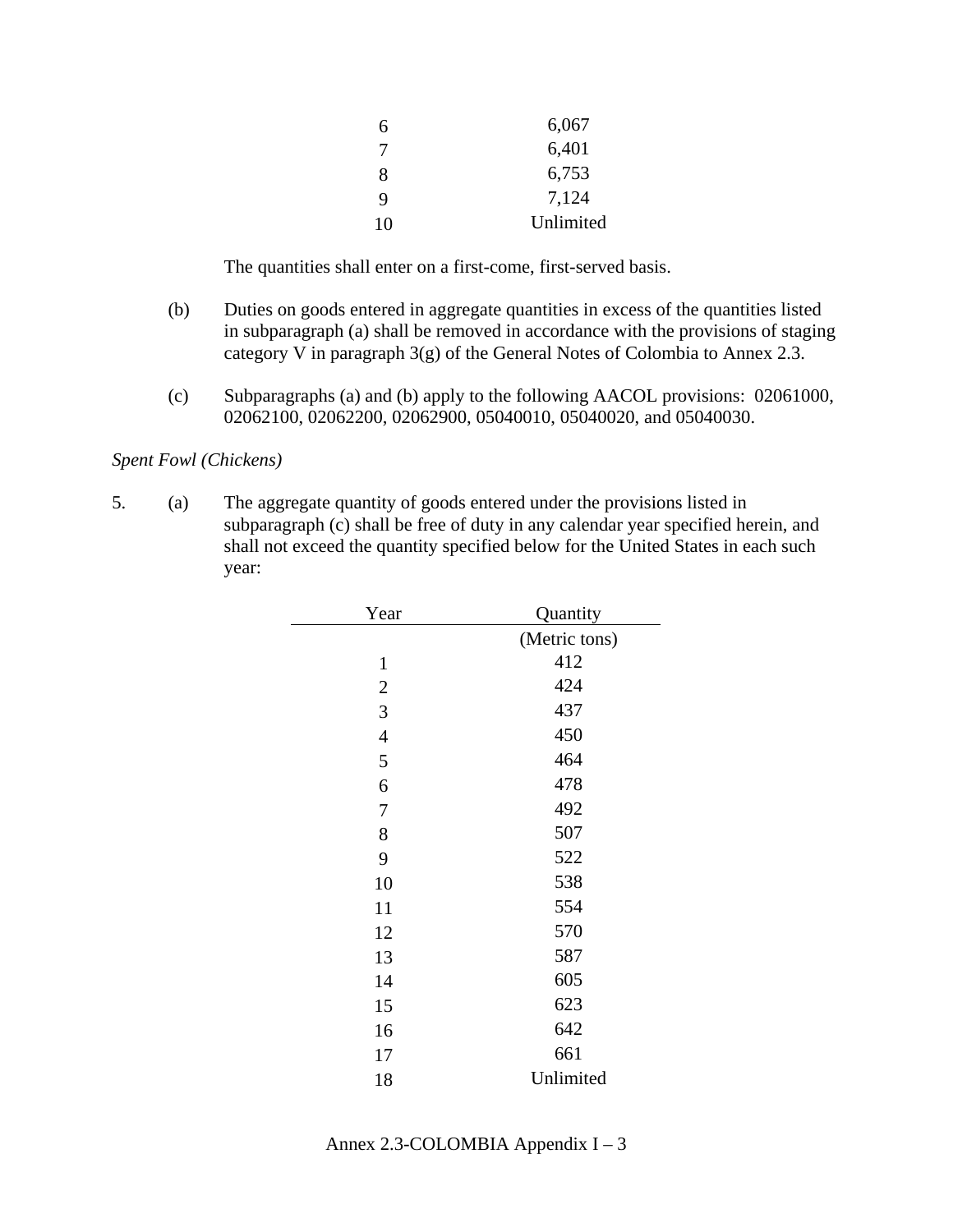| 10 | Unlimited |
|----|-----------|
| 9  | 7,124     |
| 8  | 6,753     |
| 7  | 6,401     |
| 6  | 6,067     |

- (b) Duties on goods entered in aggregate quantities in excess of the quantities listed in subparagraph (a) shall be removed in accordance with the provisions of staging category V in paragraph 3(g) of the General Notes of Colombia to Annex 2.3.
- (c) Subparagraphs (a) and (b) apply to the following AACOL provisions: 02061000, 02062100, 02062200, 02062900, 05040010, 05040020, and 05040030.

### *Spent Fowl (Chickens)*

| Year           | Quantity      |
|----------------|---------------|
|                | (Metric tons) |
| $\mathbf{1}$   | 412           |
| $\overline{2}$ | 424           |
| 3              | 437           |
| $\overline{4}$ | 450           |
| 5              | 464           |
| 6              | 478           |
| 7              | 492           |
| 8              | 507           |
| 9              | 522           |
| 10             | 538           |
| 11             | 554           |
| 12             | 570           |
| 13             | 587           |
| 14             | 605           |
| 15             | 623           |
| 16             | 642           |
| 17             | 661           |
| 18             | Unlimited     |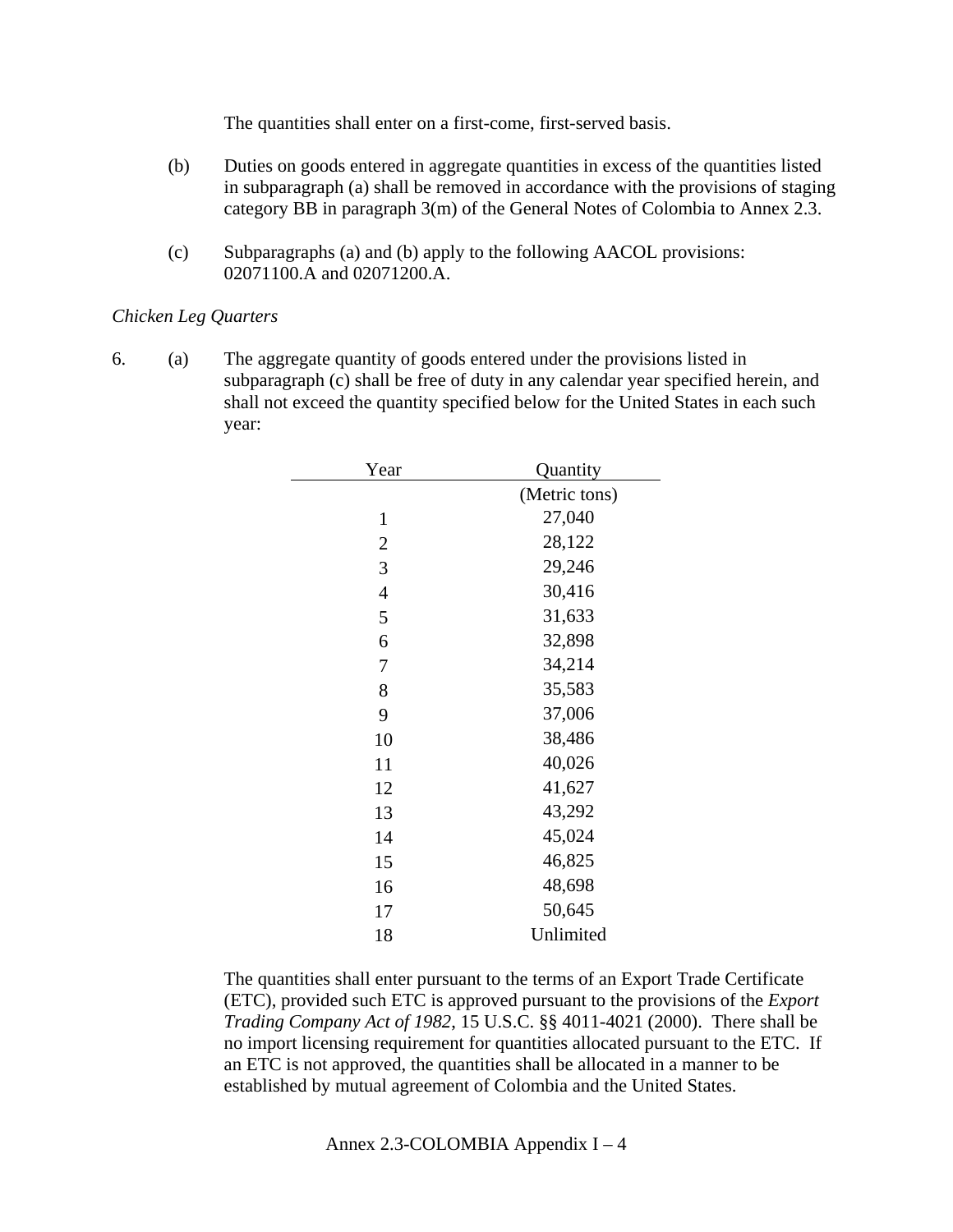- (b) Duties on goods entered in aggregate quantities in excess of the quantities listed in subparagraph (a) shall be removed in accordance with the provisions of staging category BB in paragraph 3(m) of the General Notes of Colombia to Annex 2.3.
- (c) Subparagraphs (a) and (b) apply to the following AACOL provisions: 02071100.A and 02071200.A.

## *Chicken Leg Quarters*

6. (a) The aggregate quantity of goods entered under the provisions listed in subparagraph (c) shall be free of duty in any calendar year specified herein, and shall not exceed the quantity specified below for the United States in each such year:

| Quantity      |
|---------------|
| (Metric tons) |
| 27,040        |
| 28,122        |
| 29,246        |
| 30,416        |
| 31,633        |
| 32,898        |
| 34,214        |
| 35,583        |
| 37,006        |
| 38,486        |
| 40,026        |
| 41,627        |
| 43,292        |
| 45,024        |
| 46,825        |
| 48,698        |
| 50,645        |
| Unlimited     |
|               |

The quantities shall enter pursuant to the terms of an Export Trade Certificate (ETC), provided such ETC is approved pursuant to the provisions of the *Export Trading Company Act of 1982*, 15 U.S.C. §§ 4011-4021 (2000). There shall be no import licensing requirement for quantities allocated pursuant to the ETC. If an ETC is not approved, the quantities shall be allocated in a manner to be established by mutual agreement of Colombia and the United States.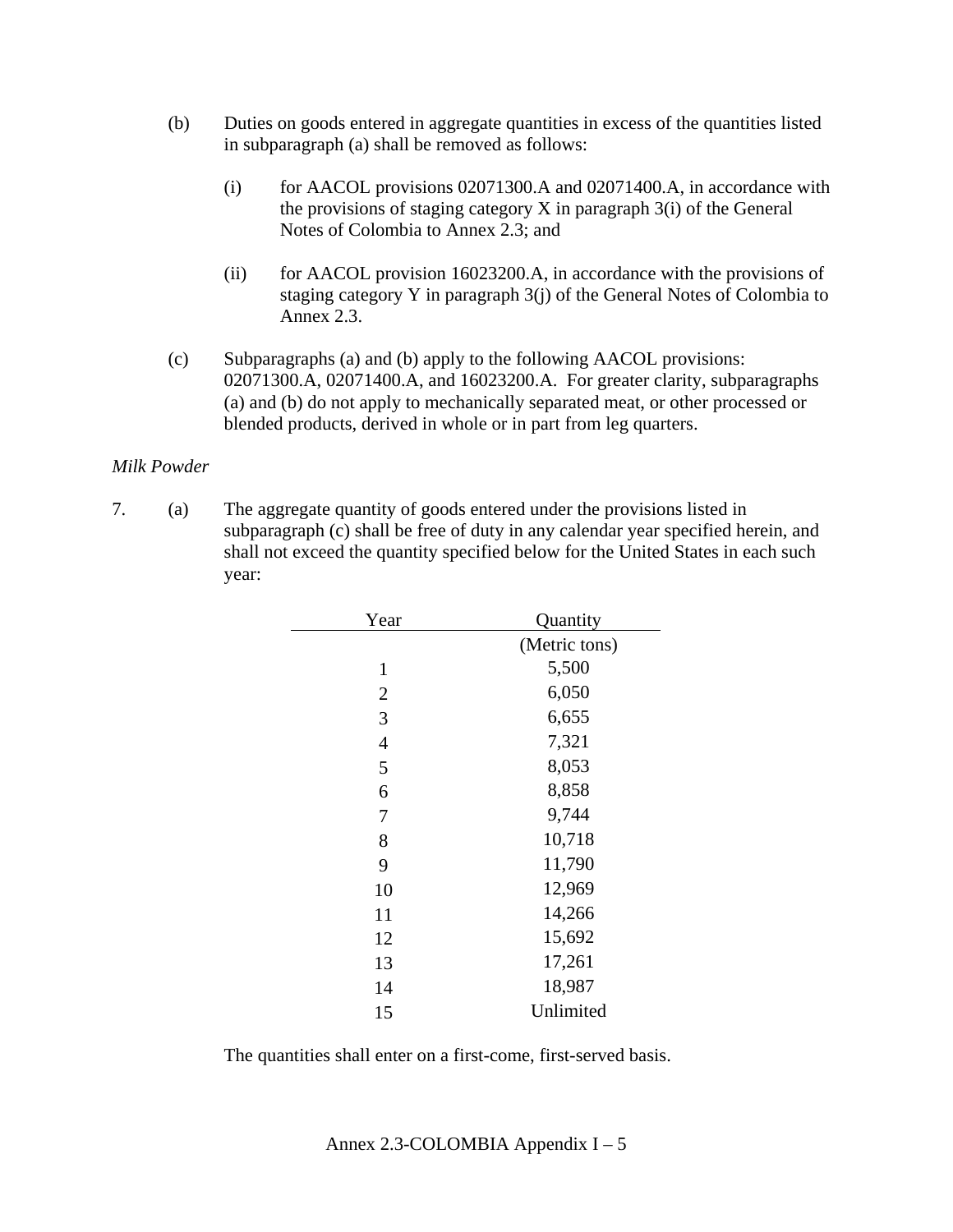- (b) Duties on goods entered in aggregate quantities in excess of the quantities listed in subparagraph (a) shall be removed as follows:
	- (i) for AACOL provisions 02071300.A and 02071400.A, in accordance with the provisions of staging category  $X$  in paragraph  $3(i)$  of the General Notes of Colombia to Annex 2.3; and
	- (ii) for AACOL provision 16023200.A, in accordance with the provisions of staging category Y in paragraph 3(j) of the General Notes of Colombia to Annex 2.3.
- (c) Subparagraphs (a) and (b) apply to the following AACOL provisions: 02071300.A, 02071400.A, and 16023200.A. For greater clarity, subparagraphs (a) and (b) do not apply to mechanically separated meat, or other processed or blended products, derived in whole or in part from leg quarters.

## *Milk Powder*

7. (a) The aggregate quantity of goods entered under the provisions listed in subparagraph (c) shall be free of duty in any calendar year specified herein, and shall not exceed the quantity specified below for the United States in each such year:

| Year           | Quantity      |
|----------------|---------------|
|                | (Metric tons) |
| $\mathbf{1}$   | 5,500         |
| 2              | 6,050         |
| 3              | 6,655         |
| $\overline{4}$ | 7,321         |
| 5              | 8,053         |
| 6              | 8,858         |
| 7              | 9,744         |
| 8              | 10,718        |
| 9              | 11,790        |
| 10             | 12,969        |
| 11             | 14,266        |
| 12             | 15,692        |
| 13             | 17,261        |
| 14             | 18,987        |
| 15             | Unlimited     |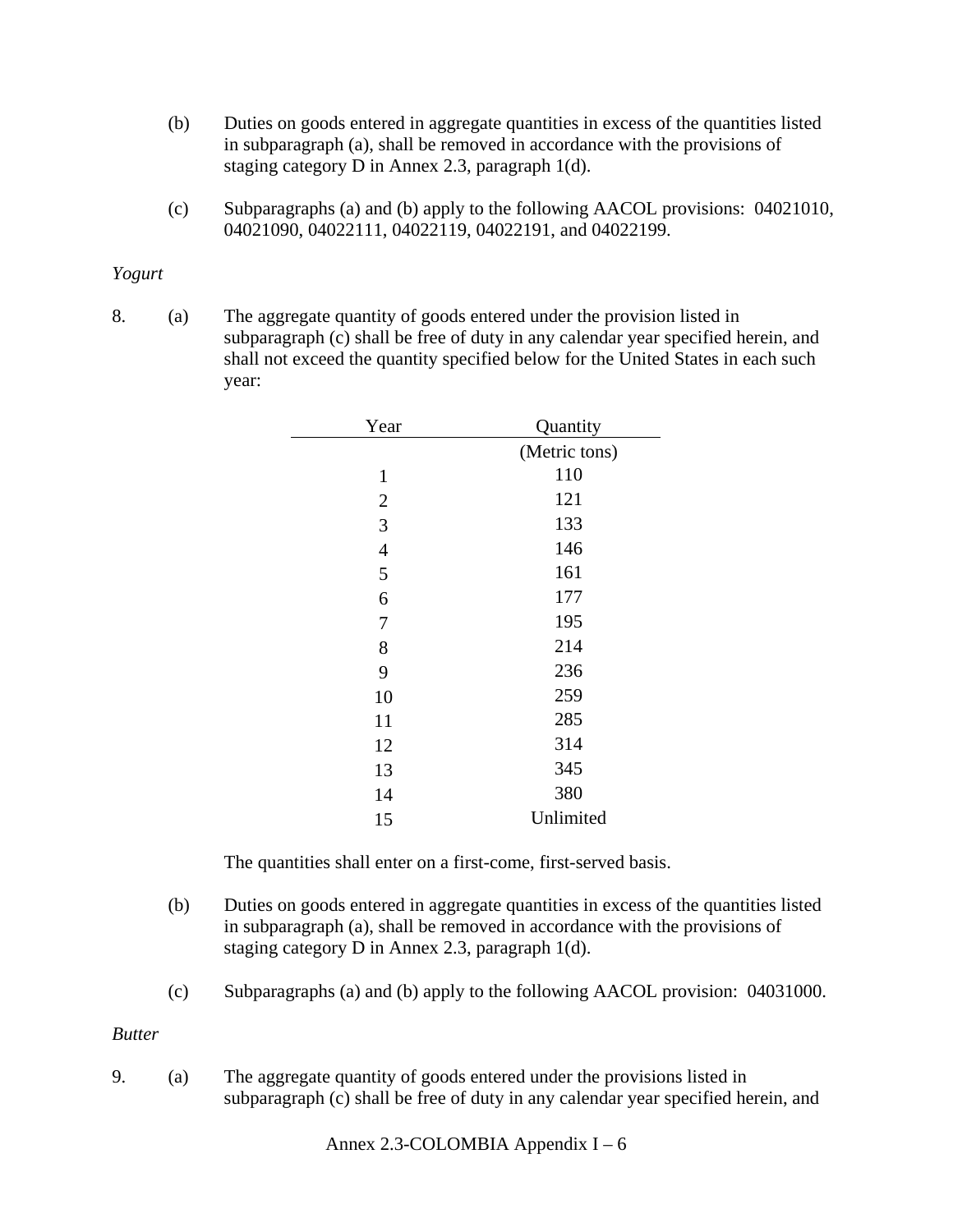- (b) Duties on goods entered in aggregate quantities in excess of the quantities listed in subparagraph (a), shall be removed in accordance with the provisions of staging category D in Annex 2.3, paragraph 1(d).
- (c) Subparagraphs (a) and (b) apply to the following AACOL provisions: 04021010, 04021090, 04022111, 04022119, 04022191, and 04022199.

### *Yogurt*

8. (a) The aggregate quantity of goods entered under the provision listed in subparagraph (c) shall be free of duty in any calendar year specified herein, and shall not exceed the quantity specified below for the United States in each such year:

| Year           | Quantity      |
|----------------|---------------|
|                | (Metric tons) |
| $\mathbf{1}$   | 110           |
| $\overline{2}$ | 121           |
| 3              | 133           |
| $\overline{4}$ | 146           |
| 5              | 161           |
| 6              | 177           |
| 7              | 195           |
| 8              | 214           |
| 9              | 236           |
| 10             | 259           |
| 11             | 285           |
| 12             | 314           |
| 13             | 345           |
| 14             | 380           |
| 15             | Unlimited     |

The quantities shall enter on a first-come, first-served basis.

- (b) Duties on goods entered in aggregate quantities in excess of the quantities listed in subparagraph (a), shall be removed in accordance with the provisions of staging category D in Annex 2.3, paragraph 1(d).
- (c) Subparagraphs (a) and (b) apply to the following AACOL provision: 04031000.

*Butter* 

9. (a) The aggregate quantity of goods entered under the provisions listed in subparagraph (c) shall be free of duty in any calendar year specified herein, and

Annex 2.3-COLOMBIA Appendix I – 6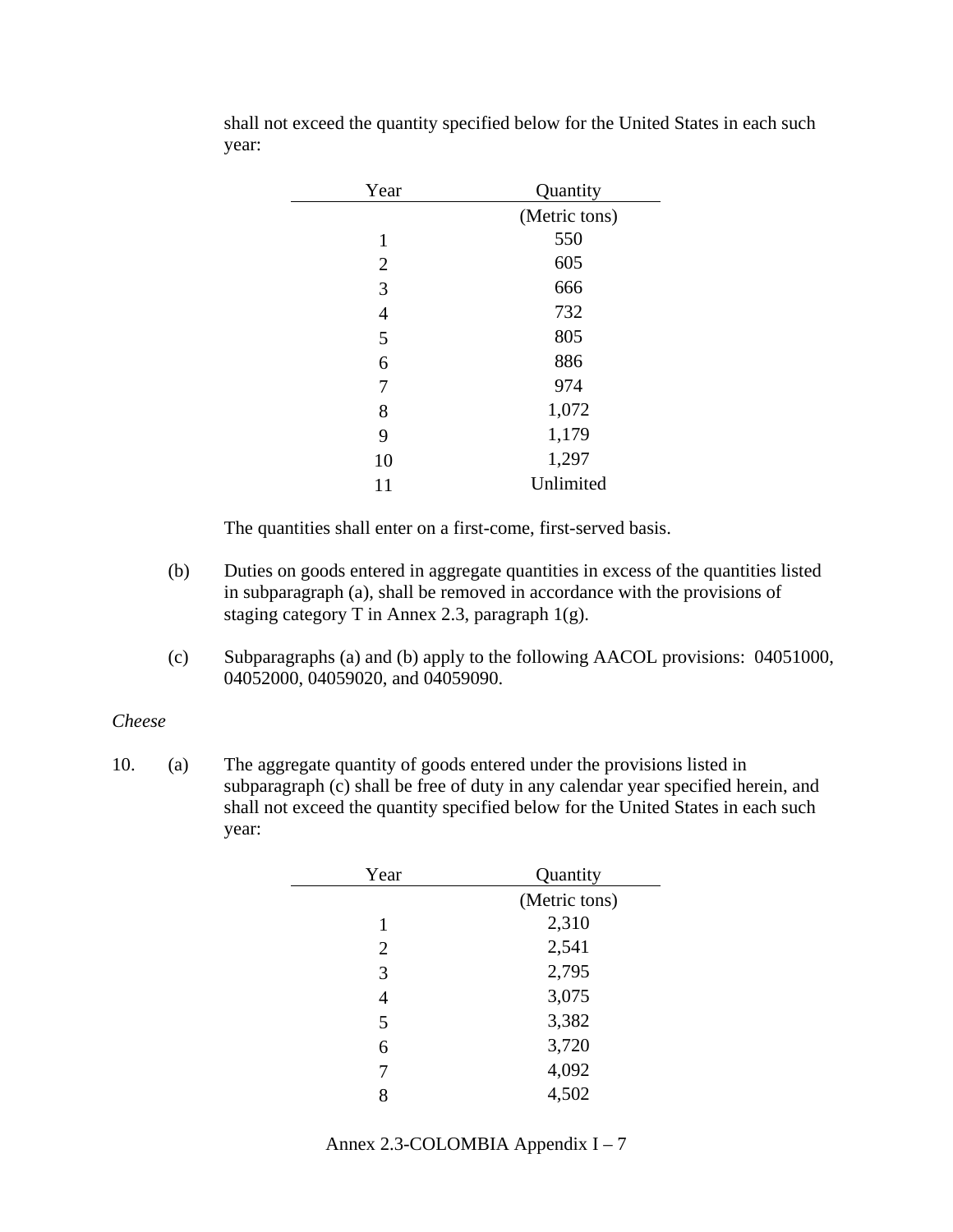| Year           | Quantity      |
|----------------|---------------|
|                | (Metric tons) |
| $\mathbf{1}$   | 550           |
| $\overline{2}$ | 605           |
| 3              | 666           |
| 4              | 732           |
| 5              | 805           |
| 6              | 886           |
| 7              | 974           |
| 8              | 1,072         |
| 9              | 1,179         |
| 10             | 1,297         |
| 11             | Unlimited     |

shall not exceed the quantity specified below for the United States in each such year:

The quantities shall enter on a first-come, first-served basis.

- (b) Duties on goods entered in aggregate quantities in excess of the quantities listed in subparagraph (a), shall be removed in accordance with the provisions of staging category T in Annex 2.3, paragraph 1(g).
- (c) Subparagraphs (a) and (b) apply to the following AACOL provisions: 04051000, 04052000, 04059020, and 04059090.

#### *Cheese*

| Year           | Quantity      |
|----------------|---------------|
|                | (Metric tons) |
| 1              | 2,310         |
| $\overline{2}$ | 2,541         |
| 3              | 2,795         |
| 4              | 3,075         |
| 5              | 3,382         |
| 6              | 3,720         |
| 7              | 4,092         |
| 8              | 4,502         |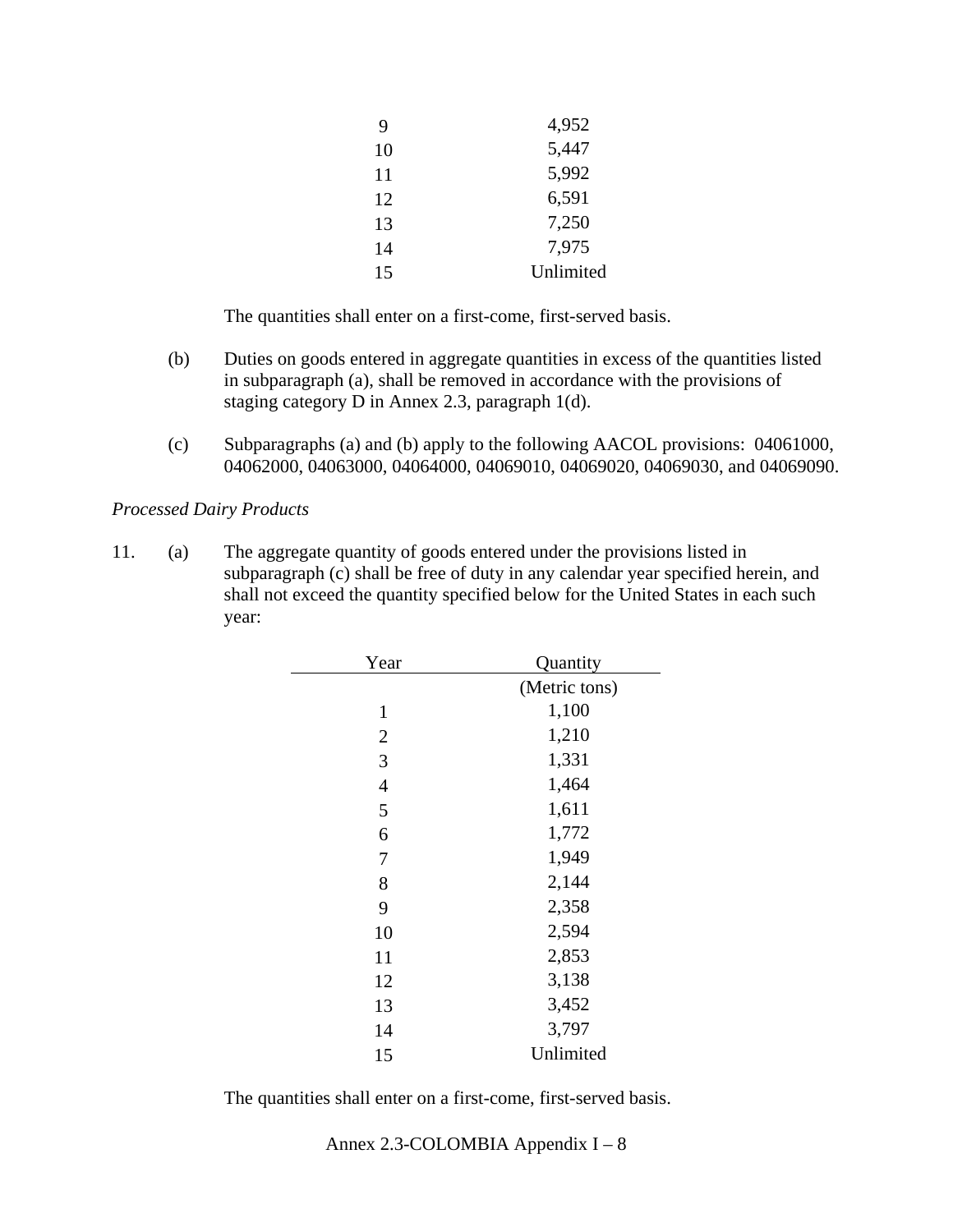| 9  | 4,952     |
|----|-----------|
| 10 | 5,447     |
| 11 | 5,992     |
| 12 | 6,591     |
| 13 | 7,250     |
| 14 | 7,975     |
| 15 | Unlimited |

- (b) Duties on goods entered in aggregate quantities in excess of the quantities listed in subparagraph (a), shall be removed in accordance with the provisions of staging category D in Annex 2.3, paragraph 1(d).
- (c) Subparagraphs (a) and (b) apply to the following AACOL provisions: 04061000, 04062000, 04063000, 04064000, 04069010, 04069020, 04069030, and 04069090.

*Processed Dairy Products* 

11. (a) The aggregate quantity of goods entered under the provisions listed in subparagraph (c) shall be free of duty in any calendar year specified herein, and shall not exceed the quantity specified below for the United States in each such year:

| Year           | Quantity      |
|----------------|---------------|
|                | (Metric tons) |
| $\mathbf{1}$   | 1,100         |
| 2              | 1,210         |
| 3              | 1,331         |
| $\overline{4}$ | 1,464         |
| 5              | 1,611         |
| 6              | 1,772         |
| 7              | 1,949         |
| 8              | 2,144         |
| 9              | 2,358         |
| 10             | 2,594         |
| 11             | 2,853         |
| 12             | 3,138         |
| 13             | 3,452         |
| 14             | 3,797         |
| 15             | Unlimited     |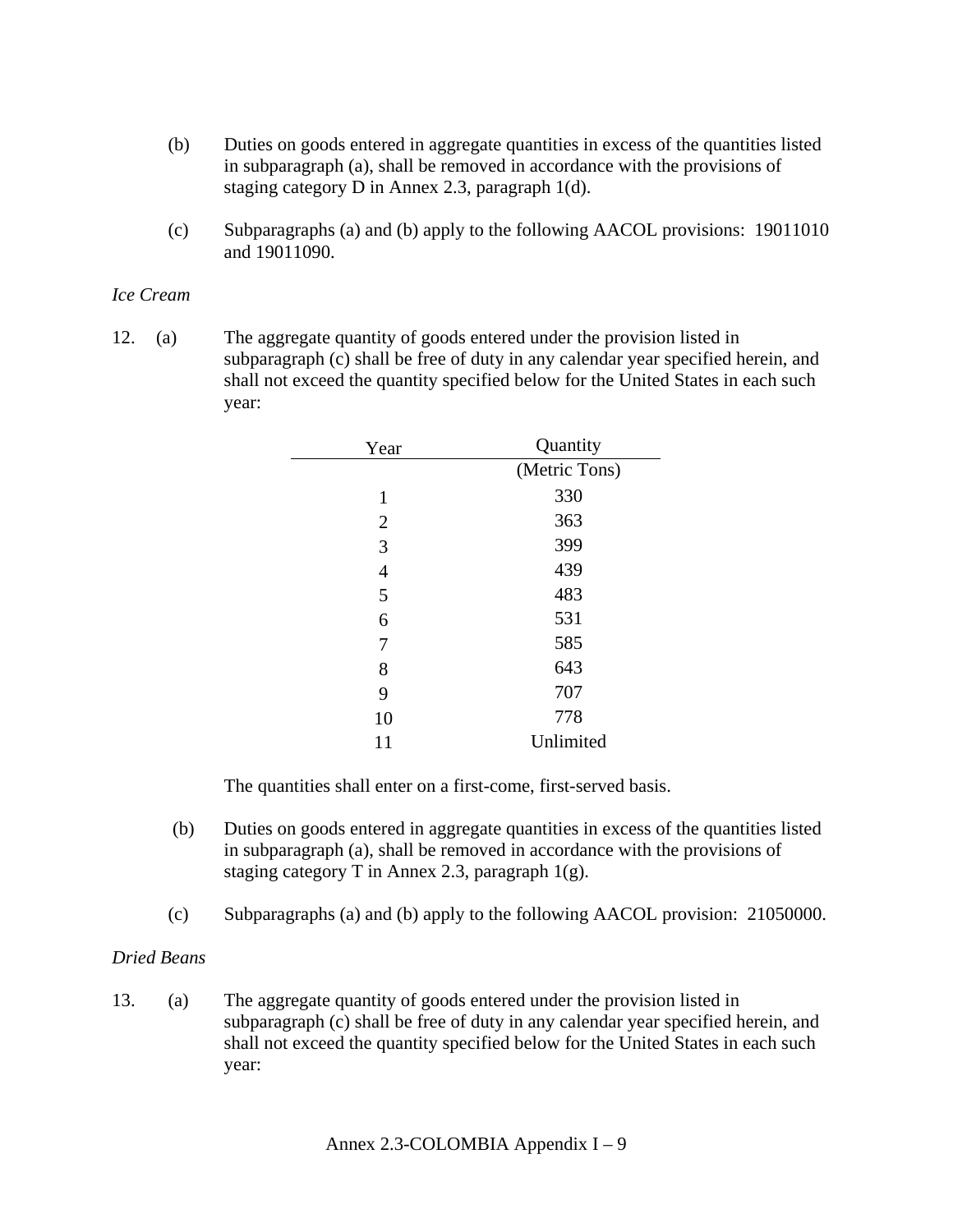- (b) Duties on goods entered in aggregate quantities in excess of the quantities listed in subparagraph (a), shall be removed in accordance with the provisions of staging category D in Annex 2.3, paragraph 1(d).
- (c) Subparagraphs (a) and (b) apply to the following AACOL provisions: 19011010 and 19011090.

### *Ice Cream*

12. (a) The aggregate quantity of goods entered under the provision listed in subparagraph (c) shall be free of duty in any calendar year specified herein, and shall not exceed the quantity specified below for the United States in each such year:

| Year           | Quantity      |
|----------------|---------------|
|                | (Metric Tons) |
| $\mathbf{1}$   | 330           |
| $\overline{2}$ | 363           |
| 3              | 399           |
| 4              | 439           |
| 5              | 483           |
| 6              | 531           |
| 7              | 585           |
| 8              | 643           |
| 9              | 707           |
| 10             | 778           |
| 11             | Unlimited     |

The quantities shall enter on a first-come, first-served basis.

- (b) Duties on goods entered in aggregate quantities in excess of the quantities listed in subparagraph (a), shall be removed in accordance with the provisions of staging category T in Annex 2.3, paragraph 1(g).
- (c) Subparagraphs (a) and (b) apply to the following AACOL provision: 21050000.

## *Dried Beans*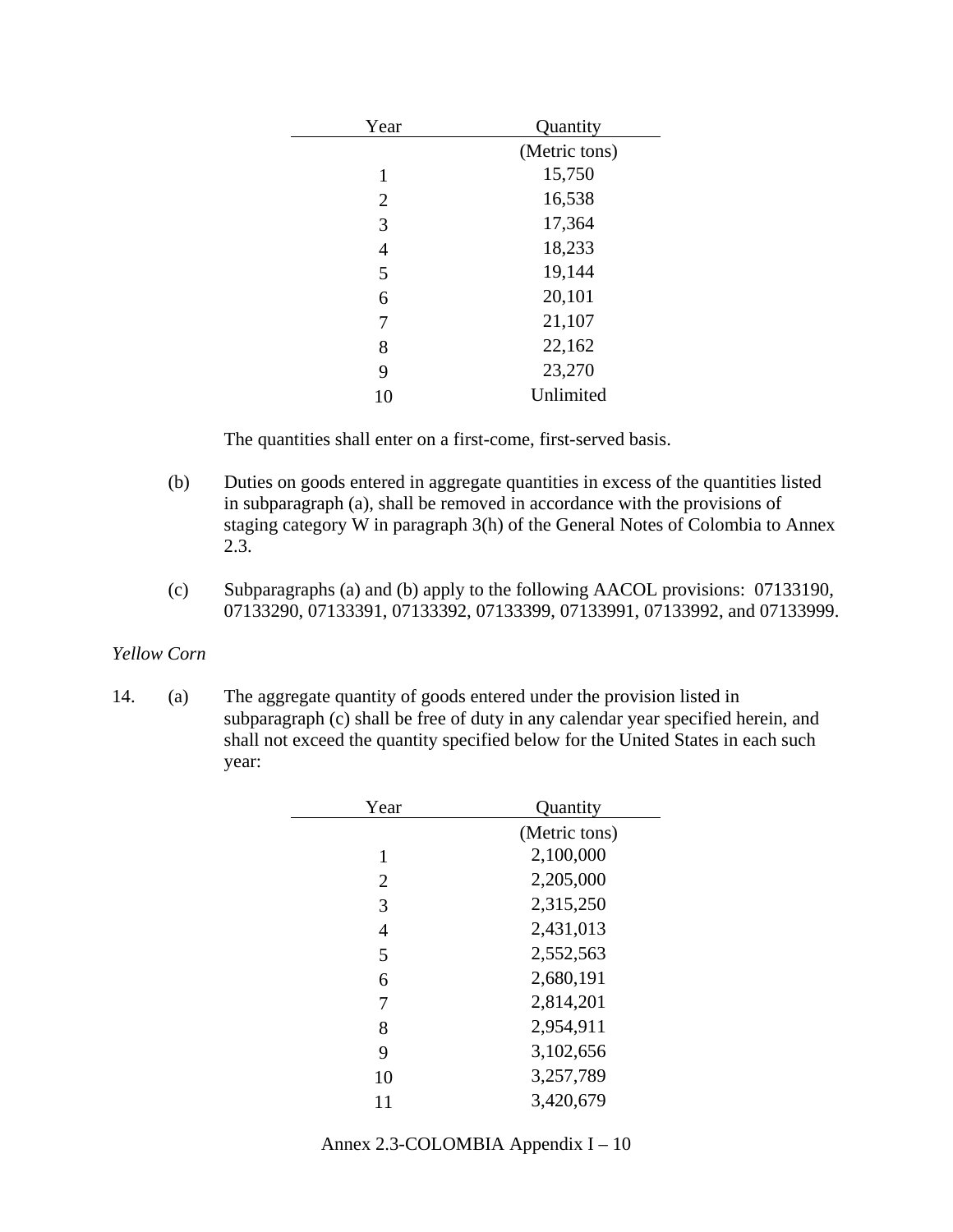| Year           | Quantity      |
|----------------|---------------|
|                | (Metric tons) |
| 1              | 15,750        |
| $\overline{2}$ | 16,538        |
| 3              | 17,364        |
| $\overline{4}$ | 18,233        |
| 5              | 19,144        |
| 6              | 20,101        |
| 7              | 21,107        |
| 8              | 22,162        |
| 9              | 23,270        |
| 10             | Unlimited     |

- (b) Duties on goods entered in aggregate quantities in excess of the quantities listed in subparagraph (a), shall be removed in accordance with the provisions of staging category W in paragraph 3(h) of the General Notes of Colombia to Annex 2.3.
- (c) Subparagraphs (a) and (b) apply to the following AACOL provisions: 07133190, 07133290, 07133391, 07133392, 07133399, 07133991, 07133992, and 07133999.

## *Yellow Corn*

| Year | Quantity      |
|------|---------------|
|      | (Metric tons) |
| 1    | 2,100,000     |
| 2    | 2,205,000     |
| 3    | 2,315,250     |
| 4    | 2,431,013     |
| 5    | 2,552,563     |
| 6    | 2,680,191     |
| 7    | 2,814,201     |
| 8    | 2,954,911     |
| 9    | 3,102,656     |
| 10   | 3,257,789     |
| 11   | 3,420,679     |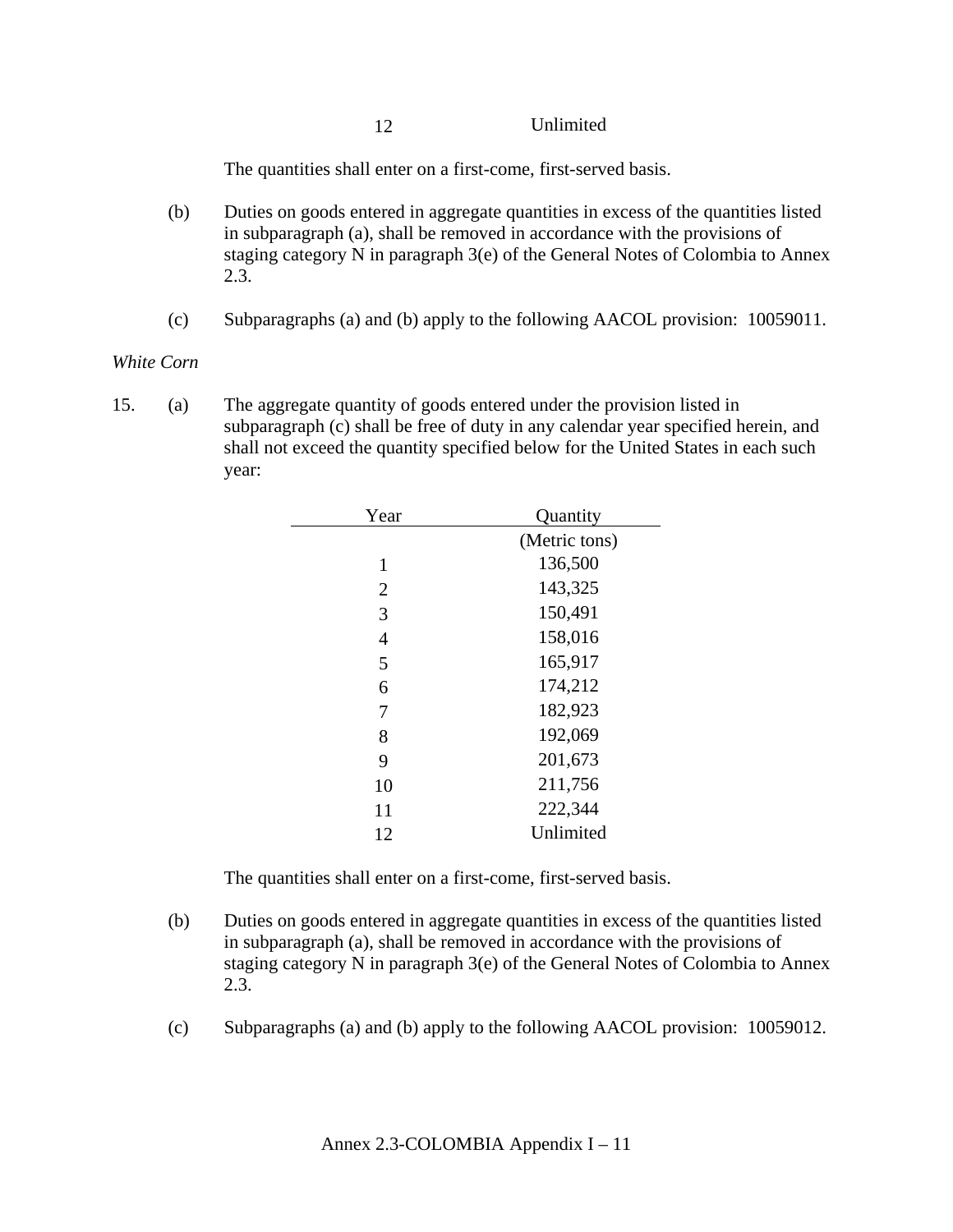12 Unlimited

The quantities shall enter on a first-come, first-served basis.

- (b) Duties on goods entered in aggregate quantities in excess of the quantities listed in subparagraph (a), shall be removed in accordance with the provisions of staging category N in paragraph 3(e) of the General Notes of Colombia to Annex 2.3.
- (c) Subparagraphs (a) and (b) apply to the following AACOL provision: 10059011.

## *White Corn*

15. (a) The aggregate quantity of goods entered under the provision listed in subparagraph (c) shall be free of duty in any calendar year specified herein, and shall not exceed the quantity specified below for the United States in each such year:

| Year           | Quantity      |
|----------------|---------------|
|                | (Metric tons) |
| 1              | 136,500       |
| $\overline{2}$ | 143,325       |
| 3              | 150,491       |
| $\overline{4}$ | 158,016       |
| 5              | 165,917       |
| 6              | 174,212       |
| 7              | 182,923       |
| 8              | 192,069       |
| 9              | 201,673       |
| 10             | 211,756       |
| 11             | 222,344       |
| 12             | Unlimited     |

- (b) Duties on goods entered in aggregate quantities in excess of the quantities listed in subparagraph (a), shall be removed in accordance with the provisions of staging category N in paragraph 3(e) of the General Notes of Colombia to Annex 2.3.
- (c) Subparagraphs (a) and (b) apply to the following AACOL provision: 10059012.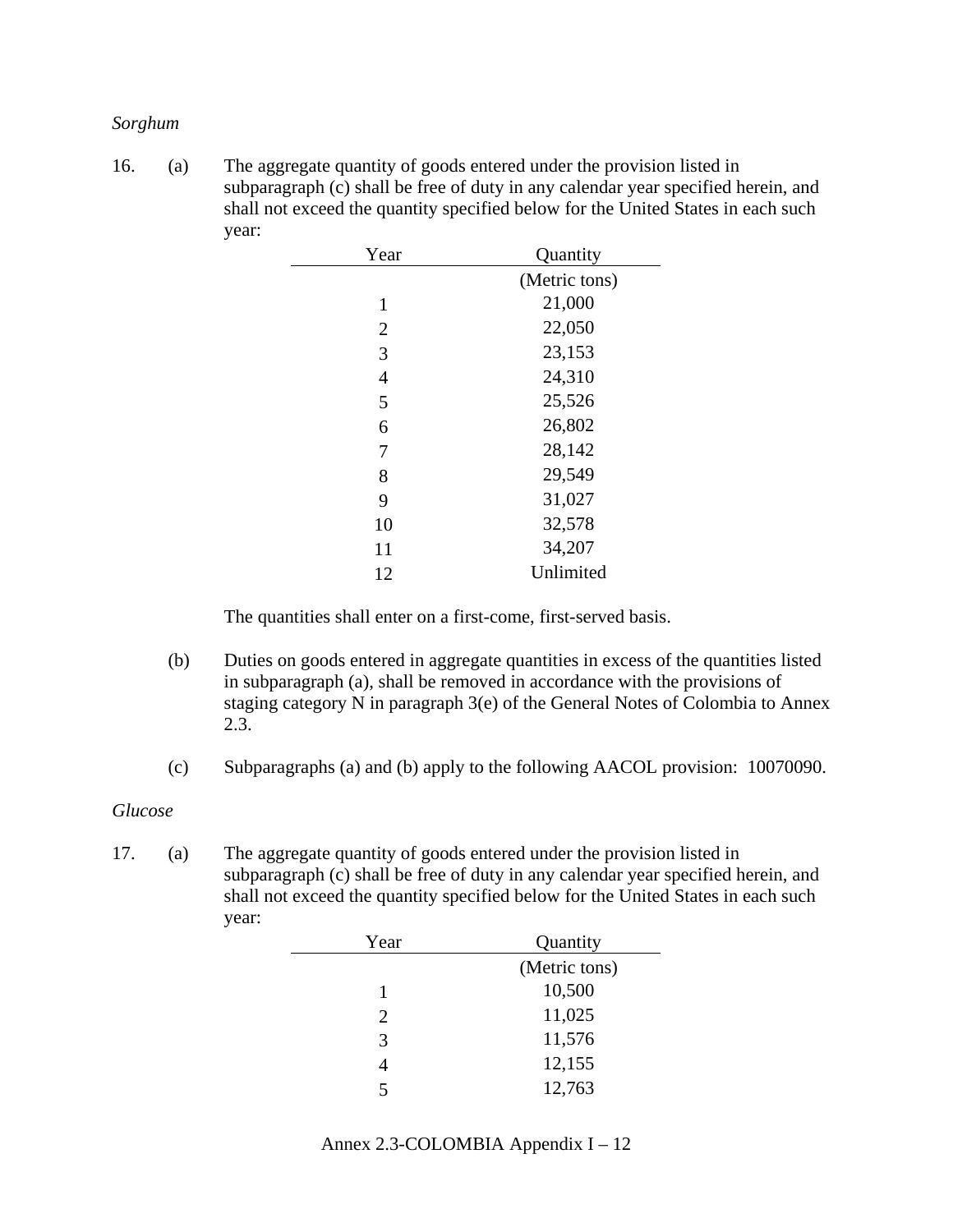#### *Sorghum*

16. (a) The aggregate quantity of goods entered under the provision listed in subparagraph (c) shall be free of duty in any calendar year specified herein, and shall not exceed the quantity specified below for the United States in each such year:

| Year           | Quantity      |
|----------------|---------------|
|                | (Metric tons) |
| 1              | 21,000        |
| $\overline{2}$ | 22,050        |
| 3              | 23,153        |
| $\overline{4}$ | 24,310        |
| 5              | 25,526        |
| 6              | 26,802        |
| 7              | 28,142        |
| 8              | 29,549        |
| 9              | 31,027        |
| 10             | 32,578        |
| 11             | 34,207        |
| 12             | Unlimited     |

The quantities shall enter on a first-come, first-served basis.

- (b) Duties on goods entered in aggregate quantities in excess of the quantities listed in subparagraph (a), shall be removed in accordance with the provisions of staging category N in paragraph 3(e) of the General Notes of Colombia to Annex 2.3.
- (c) Subparagraphs (a) and (b) apply to the following AACOL provision: 10070090.

#### *Glucose*

| Year | Quantity      |
|------|---------------|
|      | (Metric tons) |
|      | 10,500        |
| 2    | 11,025        |
| 3    | 11,576        |
| 4    | 12,155        |
| 5    | 12,763        |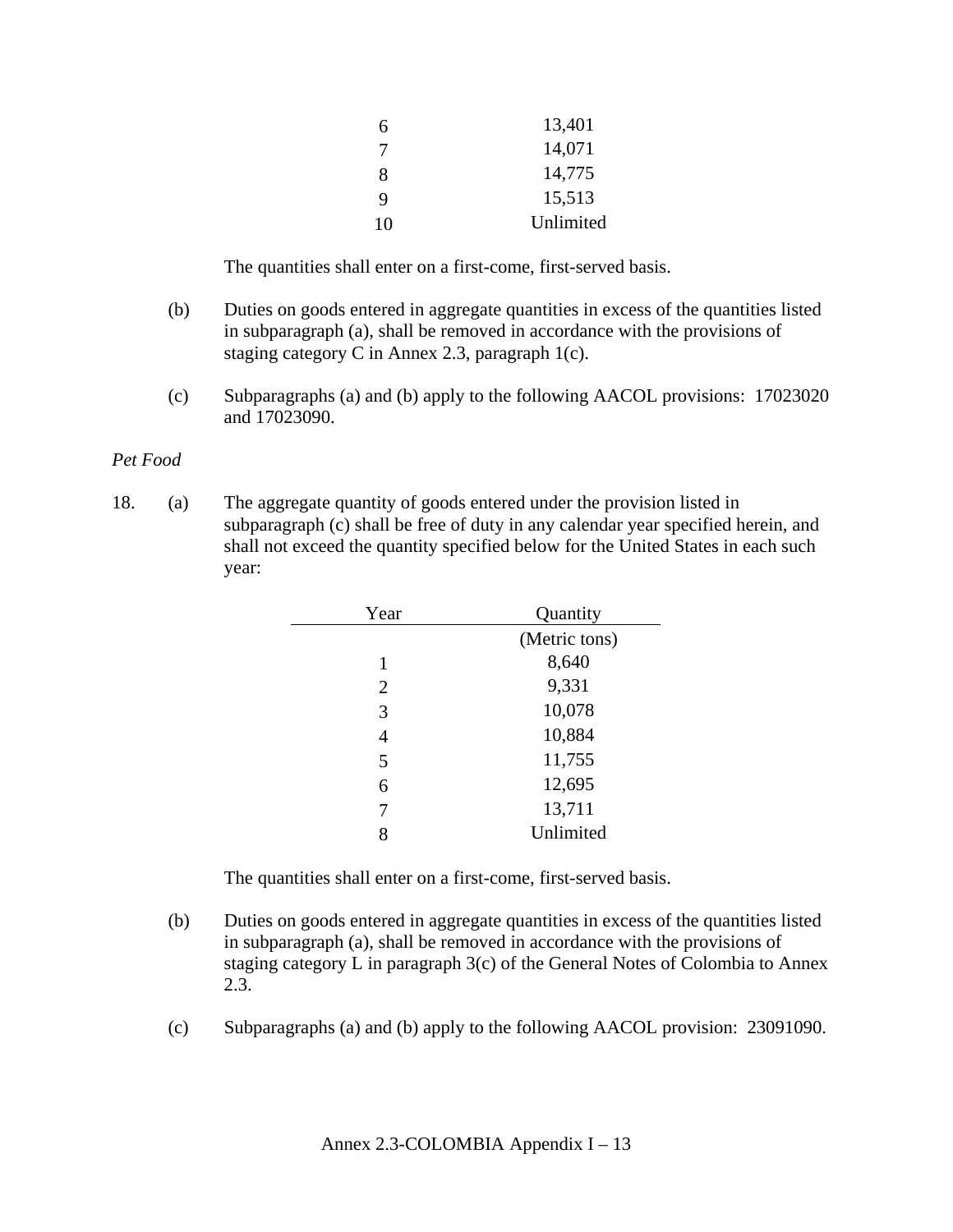| 7<br>8 | 14,071<br>14,775 |
|--------|------------------|
| 9      | 15,513           |
| 10     | Unlimited        |

- (b) Duties on goods entered in aggregate quantities in excess of the quantities listed in subparagraph (a), shall be removed in accordance with the provisions of staging category C in Annex 2.3, paragraph 1(c).
- (c) Subparagraphs (a) and (b) apply to the following AACOL provisions: 17023020 and 17023090.

#### *Pet Food*

18. (a) The aggregate quantity of goods entered under the provision listed in subparagraph (c) shall be free of duty in any calendar year specified herein, and shall not exceed the quantity specified below for the United States in each such year:

| Year           | Quantity      |
|----------------|---------------|
|                | (Metric tons) |
| 1              | 8,640         |
| $\overline{2}$ | 9,331         |
| 3              | 10,078        |
| 4              | 10,884        |
| 5              | 11,755        |
| 6              | 12,695        |
| 7              | 13,711        |
|                | Unlimited     |

- (b) Duties on goods entered in aggregate quantities in excess of the quantities listed in subparagraph (a), shall be removed in accordance with the provisions of staging category L in paragraph 3(c) of the General Notes of Colombia to Annex 2.3.
- (c) Subparagraphs (a) and (b) apply to the following AACOL provision: 23091090.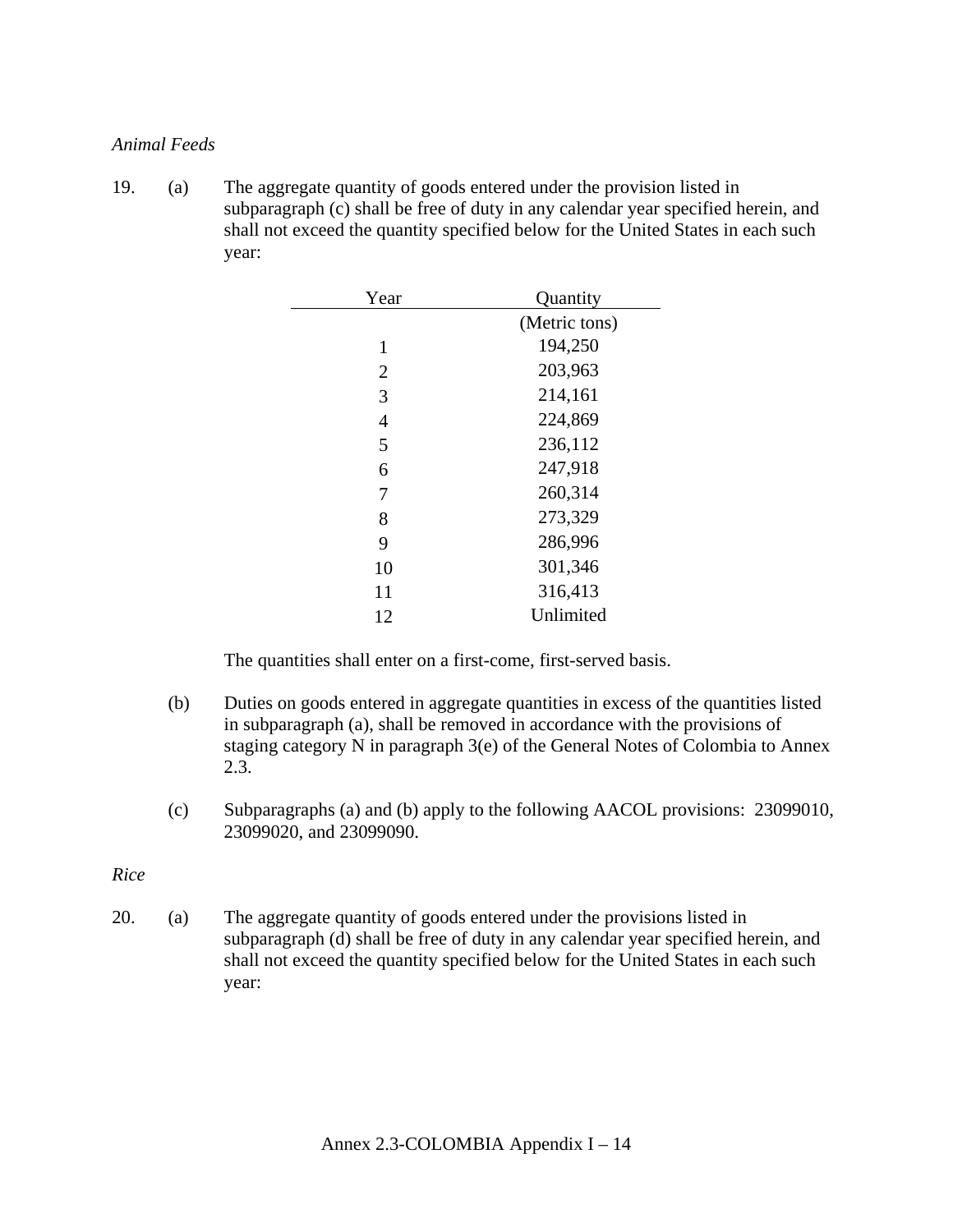### *Animal Feeds*

19. (a) The aggregate quantity of goods entered under the provision listed in subparagraph (c) shall be free of duty in any calendar year specified herein, and shall not exceed the quantity specified below for the United States in each such year:

| Year           | Quantity      |
|----------------|---------------|
|                | (Metric tons) |
| 1              | 194,250       |
| $\overline{2}$ | 203,963       |
| 3              | 214,161       |
| 4              | 224,869       |
| 5              | 236,112       |
| 6              | 247,918       |
| 7              | 260,314       |
| 8              | 273,329       |
| 9              | 286,996       |
| 10             | 301,346       |
| 11             | 316,413       |
| 12             | Unlimited     |

The quantities shall enter on a first-come, first-served basis.

- (b) Duties on goods entered in aggregate quantities in excess of the quantities listed in subparagraph (a), shall be removed in accordance with the provisions of staging category N in paragraph 3(e) of the General Notes of Colombia to Annex 2.3.
- (c) Subparagraphs (a) and (b) apply to the following AACOL provisions: 23099010, 23099020, and 23099090.

*Rice*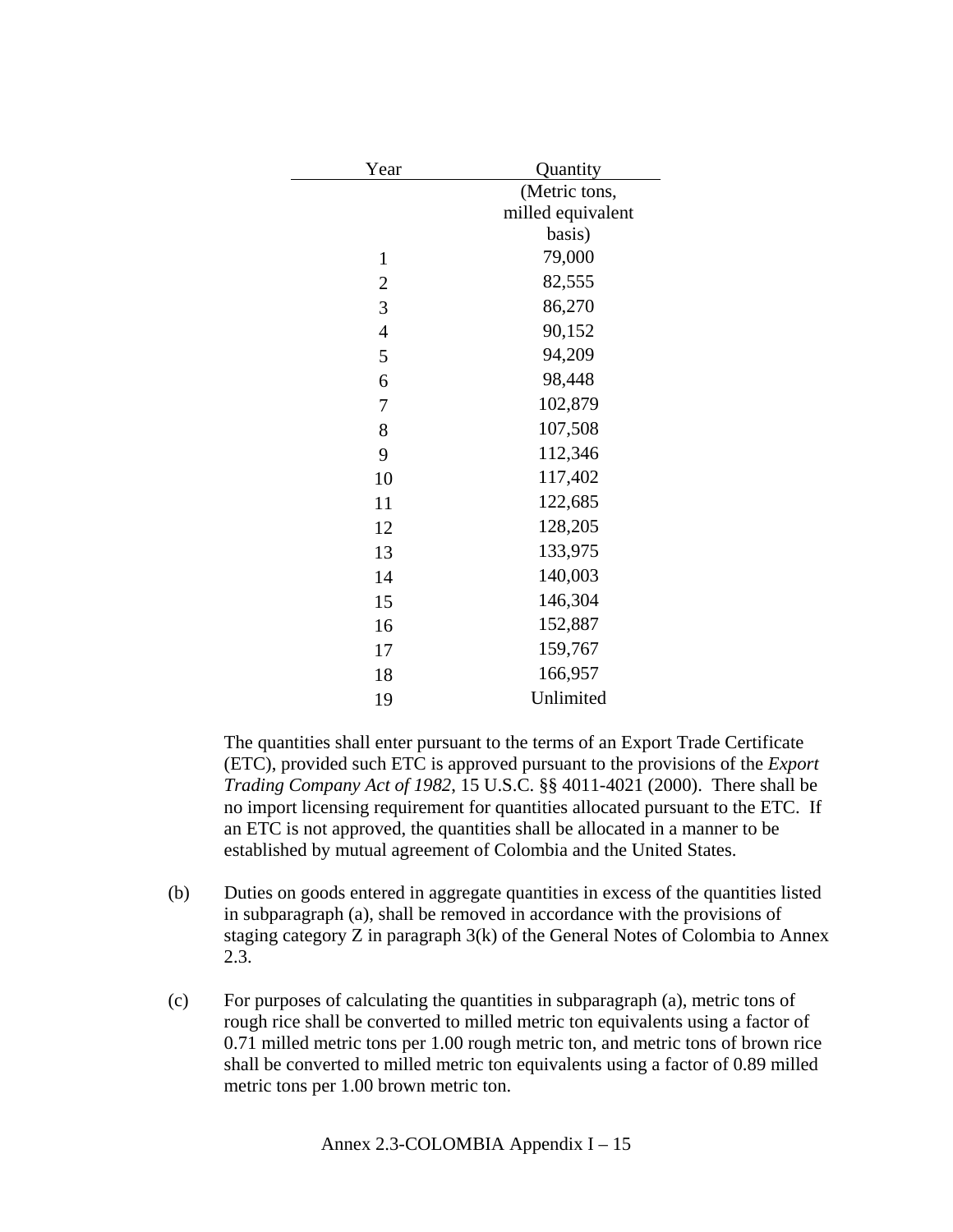| Year           | Quantity          |
|----------------|-------------------|
|                | (Metric tons,     |
|                | milled equivalent |
|                | basis)            |
| $\mathbf{1}$   | 79,000            |
| $\overline{2}$ | 82,555            |
| 3              | 86,270            |
| $\overline{4}$ | 90,152            |
| 5              | 94,209            |
| 6              | 98,448            |
| 7              | 102,879           |
| 8              | 107,508           |
| 9              | 112,346           |
| 10             | 117,402           |
| 11             | 122,685           |
| 12             | 128,205           |
| 13             | 133,975           |
| 14             | 140,003           |
| 15             | 146,304           |
| 16             | 152,887           |
| 17             | 159,767           |
| 18             | 166,957           |
| 19             | Unlimited         |

The quantities shall enter pursuant to the terms of an Export Trade Certificate (ETC), provided such ETC is approved pursuant to the provisions of the *Export Trading Company Act of 1982*, 15 U.S.C. §§ 4011-4021 (2000). There shall be no import licensing requirement for quantities allocated pursuant to the ETC. If an ETC is not approved, the quantities shall be allocated in a manner to be established by mutual agreement of Colombia and the United States.

- (b) Duties on goods entered in aggregate quantities in excess of the quantities listed in subparagraph (a), shall be removed in accordance with the provisions of staging category Z in paragraph 3(k) of the General Notes of Colombia to Annex 2.3.
- (c) For purposes of calculating the quantities in subparagraph (a), metric tons of rough rice shall be converted to milled metric ton equivalents using a factor of 0.71 milled metric tons per 1.00 rough metric ton, and metric tons of brown rice shall be converted to milled metric ton equivalents using a factor of 0.89 milled metric tons per 1.00 brown metric ton.